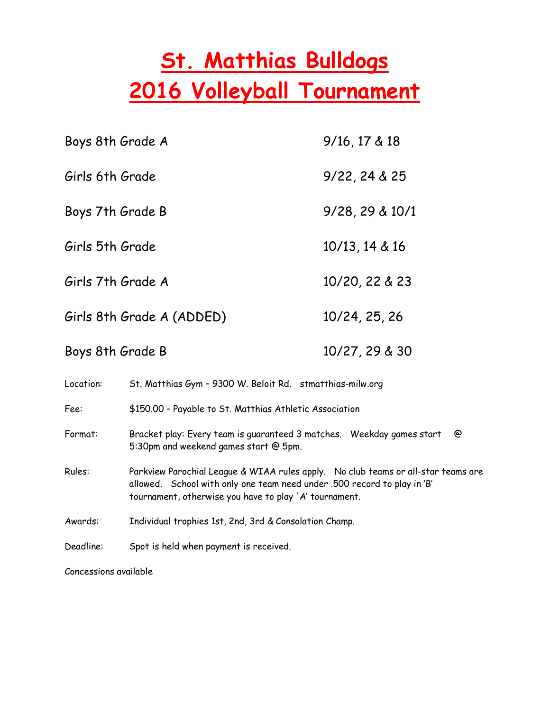## St. Matthias Bulldogs 2016 Volleyball Tournament

| Boys 8th Grade A                                                       |                                                                                                                                                                                                                         | $9/16$ , 17 & 18 |
|------------------------------------------------------------------------|-------------------------------------------------------------------------------------------------------------------------------------------------------------------------------------------------------------------------|------------------|
| Girls 6th Grade                                                        |                                                                                                                                                                                                                         | 9/22, 24 & 25    |
| Boys 7th Grade B                                                       |                                                                                                                                                                                                                         | 9/28, 29 & 10/1  |
| Girls 5th Grade                                                        |                                                                                                                                                                                                                         | 10/13, 14 & 16   |
| Girls 7th Grade A                                                      |                                                                                                                                                                                                                         | 10/20, 22 & 23   |
| Girls 8th Grade A (ADDED)<br>10/24, 25, 26                             |                                                                                                                                                                                                                         |                  |
| Boys 8th Grade B                                                       |                                                                                                                                                                                                                         | 10/27, 29 & 30   |
| Location:<br>St. Matthias Gym - 9300 W. Beloit Rd. stmatthias-milw.org |                                                                                                                                                                                                                         |                  |
| Fee:                                                                   | \$150.00 - Payable to St. Matthias Athletic Association                                                                                                                                                                 |                  |
| Format:                                                                | Bracket play: Every team is quaranteed 3 matches. Weekday games start<br>@<br>5:30pm and weekend games start @ 5pm.                                                                                                     |                  |
| Rules:                                                                 | Parkview Parochial League & WIAA rules apply. No club teams or all-star teams are<br>allowed. School with only one team need under .500 record to play in 'B'<br>tournament, otherwise you have to play 'A' tournament. |                  |
| Awards:                                                                | Individual trophies 1st, 2nd, 3rd & Consolation Champ.                                                                                                                                                                  |                  |
| Deadline:                                                              | Spot is held when payment is received.                                                                                                                                                                                  |                  |

Concessions available